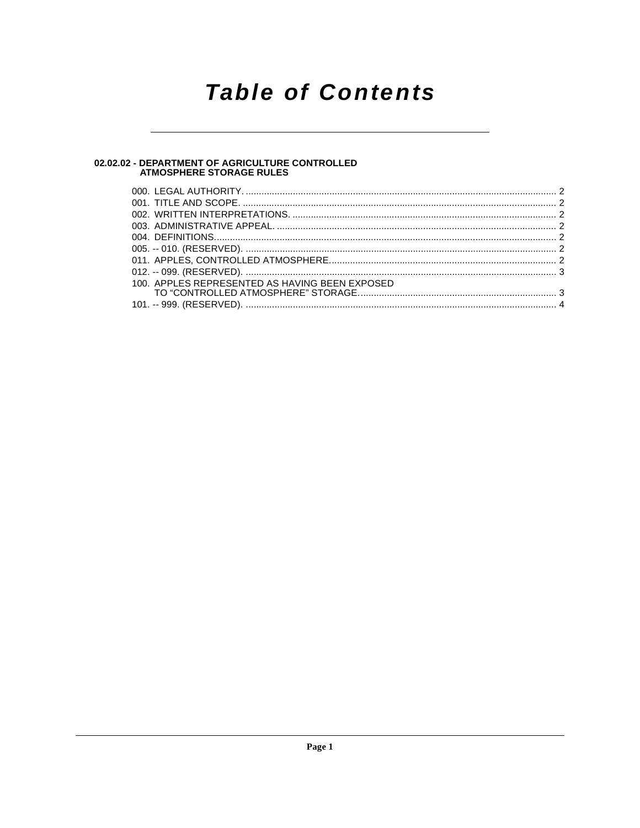## **Table of Contents**

## 02.02.02 - DEPARTMENT OF AGRICULTURE CONTROLLED<br>ATMOSPHERE STORAGE RULES

| 100. APPLES REPRESENTED AS HAVING BEEN EXPOSED |  |
|------------------------------------------------|--|
|                                                |  |
|                                                |  |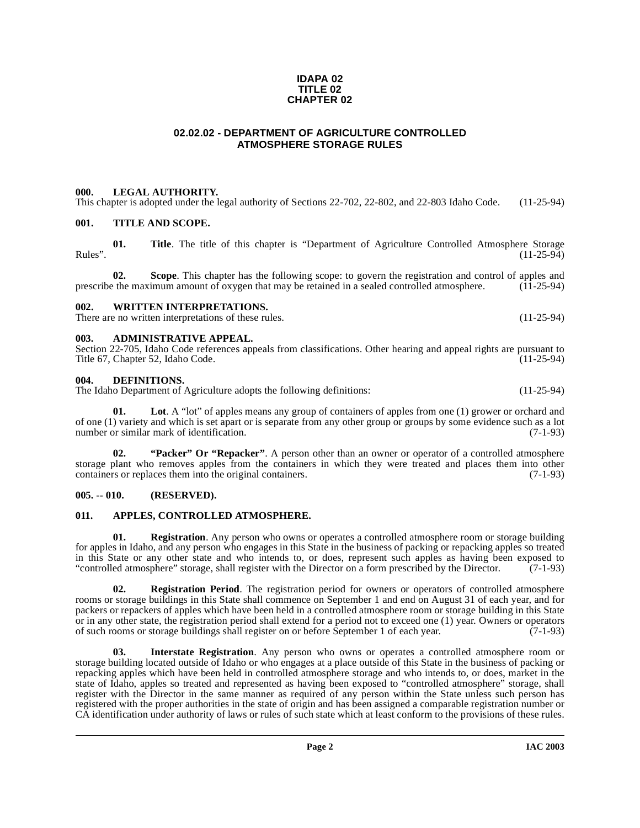### **IDAPA 02 TITLE 02 CHAPTER 02**

### **02.02.02 - DEPARTMENT OF AGRICULTURE CONTROLLED ATMOSPHERE STORAGE RULES**

### <span id="page-1-1"></span><span id="page-1-0"></span>**000. LEGAL AUTHORITY.**

This chapter is adopted under the legal authority of Sections 22-702, 22-802, and 22-803 Idaho Code. (11-25-94)

### <span id="page-1-2"></span>**001. TITLE AND SCOPE.**

**01.** Title. The title of this chapter is "Department of Agriculture Controlled Atmosphere Storage (11-25-94) Rules". (11-25-94)

**02.** Scope. This chapter has the following scope: to govern the registration and control of apples and the maximum amount of oxygen that may be retained in a sealed controlled atmosphere. (11-25-94) prescribe the maximum amount of oxygen that may be retained in a sealed controlled atmosphere.

### <span id="page-1-3"></span>**002. WRITTEN INTERPRETATIONS.**

There are no written interpretations of these rules. (11-25-94)

### <span id="page-1-4"></span>**003. ADMINISTRATIVE APPEAL.**

Section 22-705, Idaho Code references appeals from classifications. Other hearing and appeal rights are pursuant to Title 67, Chapter 52, Idaho Code.

### <span id="page-1-9"></span><span id="page-1-5"></span>**004. DEFINITIONS.**

The Idaho Department of Agriculture adopts the following definitions: (11-25-94)

<span id="page-1-11"></span>Lot. A "lot" of apples means any group of containers of apples from one (1) grower or orchard and of one (1) variety and which is set apart or is separate from any other group or groups by some evidence such as a lot number or similar mark of identification. (7-1-93)

<span id="page-1-14"></span><span id="page-1-12"></span>**02. "Packer" Or "Repacker"**. A person other than an owner or operator of a controlled atmosphere storage plant who removes apples from the containers in which they were treated and places them into other containers or replaces them into the original containers. (7-1-93)

### <span id="page-1-6"></span>**005. -- 010. (RESERVED).**

### <span id="page-1-8"></span><span id="page-1-7"></span>**011. APPLES, CONTROLLED ATMOSPHERE.**

<span id="page-1-13"></span>**01. Registration**. Any person who owns or operates a controlled atmosphere room or storage building for apples in Idaho, and any person who engages in this State in the business of packing or repacking apples so treated in this State or any other state and who intends to, or does, represent such apples as having been exposed to<br>"controlled atmosphere" storage, shall register with the Director on a form prescribed by the Director. (7-1-93) "controlled atmosphere" storage, shall register with the Director on a form prescribed by the Director.

**02. Registration Period**. The registration period for owners or operators of controlled atmosphere rooms or storage buildings in this State shall commence on September 1 and end on August 31 of each year, and for packers or repackers of apples which have been held in a controlled atmosphere room or storage building in this State or in any other state, the registration period shall extend for a period not to exceed one (1) year. Owners or operators of such rooms or storage buildings shall register on or before September 1 of each year. (7-1-93) of such rooms or storage buildings shall register on or before September 1 of each year.

<span id="page-1-10"></span>**03. Interstate Registration**. Any person who owns or operates a controlled atmosphere room or storage building located outside of Idaho or who engages at a place outside of this State in the business of packing or repacking apples which have been held in controlled atmosphere storage and who intends to, or does, market in the state of Idaho, apples so treated and represented as having been exposed to "controlled atmosphere" storage, shall register with the Director in the same manner as required of any person within the State unless such person has registered with the proper authorities in the state of origin and has been assigned a comparable registration number or CA identification under authority of laws or rules of such state which at least conform to the provisions of these rules.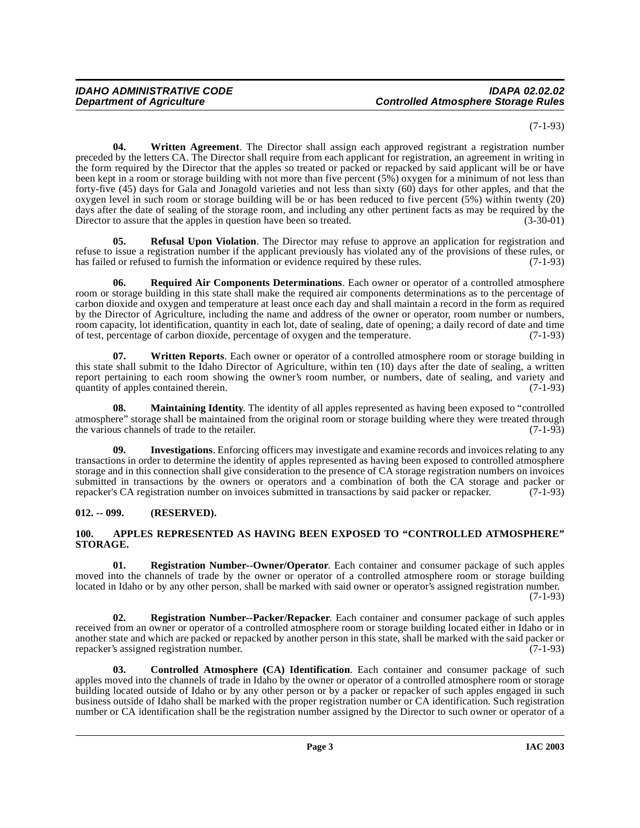(7-1-93)

<span id="page-2-9"></span>**04. Written Agreement**. The Director shall assign each approved registrant a registration number preceded by the letters CA. The Director shall require from each applicant for registration, an agreement in writing in the form required by the Director that the apples so treated or packed or repacked by said applicant will be or have been kept in a room or storage building with not more than five percent (5%) oxygen for a minimum of not less than forty-five (45) days for Gala and Jonagold varieties and not less than sixty (60) days for other apples, and that the oxygen level in such room or storage building will be or has been reduced to five percent (5%) within twenty (20) days after the date of sealing of the storage room, and including any other pertinent facts as may be required by the Director to assure that the apples in question have been so treated. (3-30-01)

**05. Refusal Upon Violation**. The Director may refuse to approve an application for registration and refuse to issue a registration number if the applicant previously has violated any of the provisions of these rules, or has failed or refused to furnish the information or evidence required by these rules. (7-1-93)

<span id="page-2-8"></span>**06. Required Air Components Determinations**. Each owner or operator of a controlled atmosphere room or storage building in this state shall make the required air components determinations as to the percentage of carbon dioxide and oxygen and temperature at least once each day and shall maintain a record in the form as required by the Director of Agriculture, including the name and address of the owner or operator, room number or numbers, room capacity, lot identification, quantity in each lot, date of sealing, date of opening; a daily record of date and time of test, percentage of carbon dioxide, percentage of oxygen and the temperature. (7-1-93)

**07. Written Reports**. Each owner or operator of a controlled atmosphere room or storage building in this state shall submit to the Idaho Director of Agriculture, within ten (10) days after the date of sealing, a written report pertaining to each room showing the owner's room number, or numbers, date of sealing, and variety and quantity of apples contained therein. (7-1-93)

<span id="page-2-5"></span>**08. Maintaining Identity**. The identity of all apples represented as having been exposed to "controlled atmosphere" storage shall be maintained from the original room or storage building where they were treated through the various channels of trade to the retailer. (7-1-93) the various channels of trade to the retailer.

<span id="page-2-4"></span>**09. Investigations**. Enforcing officers may investigate and examine records and invoices relating to any transactions in order to determine the identity of apples represented as having been exposed to controlled atmosphere storage and in this connection shall give consideration to the presence of CA storage registration numbers on invoices submitted in transactions by the owners or operators and a combination of both the CA storage and packer or repacker's CA registration number on invoices submitted in transactions by said packer or repacker. (7-1-93)

### <span id="page-2-0"></span>**012. -- 099. (RESERVED).**

### <span id="page-2-2"></span><span id="page-2-1"></span>**100. APPLES REPRESENTED AS HAVING BEEN EXPOSED TO "CONTROLLED ATMOSPHERE" STORAGE.**

<span id="page-2-6"></span>**01. Registration Number--Owner/Operator**. Each container and consumer package of such apples moved into the channels of trade by the owner or operator of a controlled atmosphere room or storage building located in Idaho or by any other person, shall be marked with said owner or operator's assigned registration number. (7-1-93)

<span id="page-2-7"></span>**02. Registration Number--Packer/Repacker**. Each container and consumer package of such apples received from an owner or operator of a controlled atmosphere room or storage building located either in Idaho or in another state and which are packed or repacked by another person in this state, shall be marked with the said packer or repacker's assigned registration number. repacker's assigned registration number.

<span id="page-2-3"></span>**03. Controlled Atmosphere (CA) Identification**. Each container and consumer package of such apples moved into the channels of trade in Idaho by the owner or operator of a controlled atmosphere room or storage building located outside of Idaho or by any other person or by a packer or repacker of such apples engaged in such business outside of Idaho shall be marked with the proper registration number or CA identification. Such registration number or CA identification shall be the registration number assigned by the Director to such owner or operator of a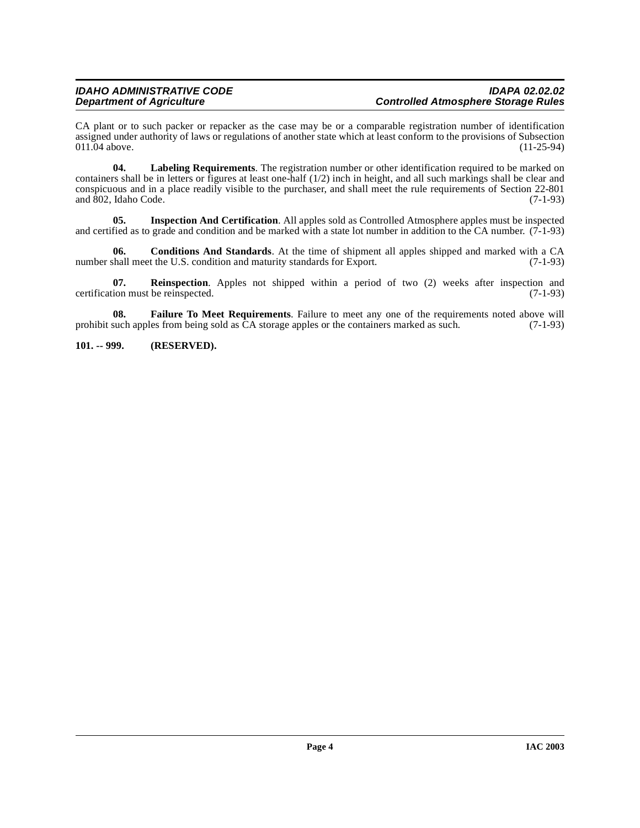CA plant or to such packer or repacker as the case may be or a comparable registration number of identification assigned under authority of laws or regulations of another state which at least conform to the provisions of Subsection 011.04 above. (11-25-94)  $011.04$  above.

<span id="page-3-2"></span>**04. Labeling Requirements**. The registration number or other identification required to be marked on containers shall be in letters or figures at least one-half  $(1/2)$  inch in height, and all such markings shall be clear and conspicuous and in a place readily visible to the purchaser, and shall meet the rule requirements of Section 22-801 and 802, Idaho Code.

<span id="page-3-1"></span>**05. Inspection And Certification**. All apples sold as Controlled Atmosphere apples must be inspected and certified as to grade and condition and be marked with a state lot number in addition to the CA number.  $(7-1-93)$ 

**06.** Conditions And Standards. At the time of shipment all apples shipped and marked with a CA chall meet the U.S. condition and maturity standards for Export. (7-1-93) number shall meet the U.S. condition and maturity standards for Export.

<span id="page-3-3"></span>**07. Reinspection**. Apples not shipped within a period of two (2) weeks after inspection and ion must be reinspected. (7-1-93) certification must be reinspected.

**08. Failure To Meet Requirements**. Failure to meet any one of the requirements noted above will prohibit such apples from being sold as CA storage apples or the containers marked as such. (7-1-93)

### <span id="page-3-0"></span>**101. -- 999. (RESERVED).**